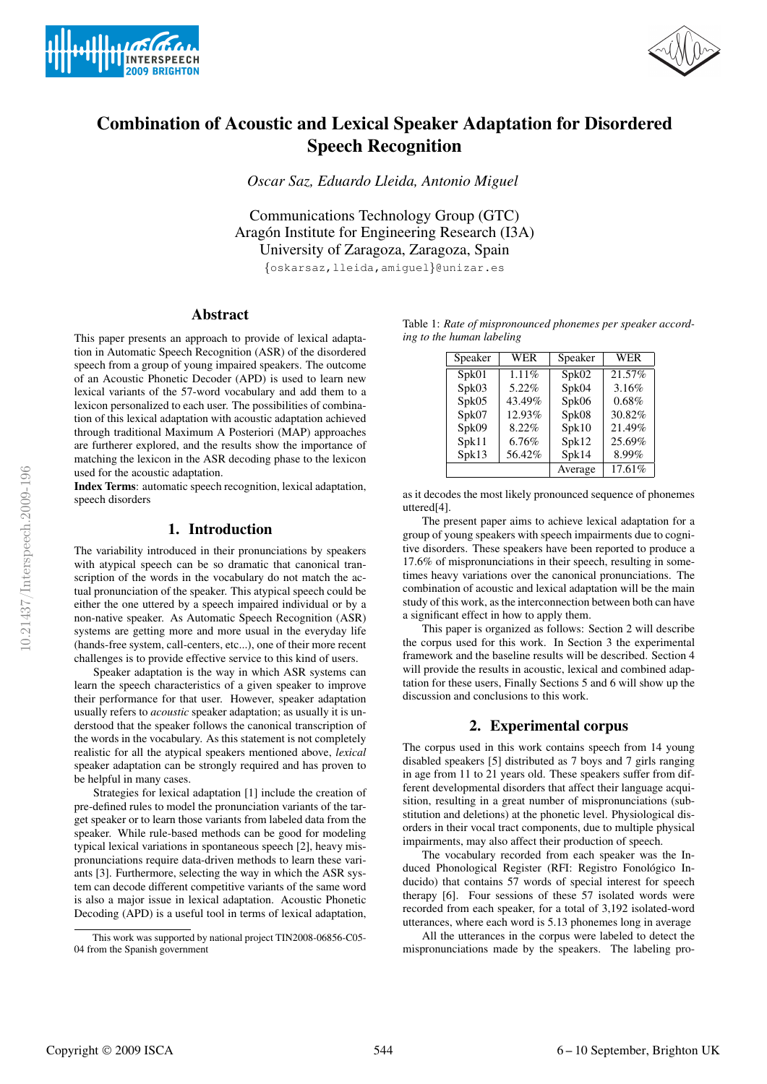



# Combination of Acoustic and Lexical Speaker Adaptation for Disordered Speech Recognition

*Oscar Saz, Eduardo Lleida, Antonio Miguel*

Communications Technology Group (GTC) Aragón Institute for Engineering Research (I3A) University of Zaragoza, Zaragoza, Spain

{oskarsaz,lleida,amiguel}@unizar.es

# Abstract

This paper presents an approach to provide of lexical adaptation in Automatic Speech Recognition (ASR) of the disordered speech from a group of young impaired speakers. The outcome of an Acoustic Phonetic Decoder (APD) is used to learn new lexical variants of the 57-word vocabulary and add them to a lexicon personalized to each user. The possibilities of combination of this lexical adaptation with acoustic adaptation achieved through traditional Maximum A Posteriori (MAP) approaches are furtherer explored, and the results show the importance of matching the lexicon in the ASR decoding phase to the lexicon used for the acoustic adaptation.

Index Terms: automatic speech recognition, lexical adaptation, speech disorders

## 1. Introduction

The variability introduced in their pronunciations by speakers with atypical speech can be so dramatic that canonical transcription of the words in the vocabulary do not match the actual pronunciation of the speaker. This atypical speech could be either the one uttered by a speech impaired individual or by a non-native speaker. As Automatic Speech Recognition (ASR) systems are getting more and more usual in the everyday life (hands-free system, call-centers, etc...), one of their more recent challenges is to provide effective service to this kind of users.

Speaker adaptation is the way in which ASR systems can learn the speech characteristics of a given speaker to improve their performance for that user. However, speaker adaptation usually refers to *acoustic* speaker adaptation; as usually it is understood that the speaker follows the canonical transcription of the words in the vocabulary. As this statement is not completely realistic for all the atypical speakers mentioned above, *lexical* speaker adaptation can be strongly required and has proven to be helpful in many cases.

Strategies for lexical adaptation [1] include the creation of pre-defined rules to model the pronunciation variants of the target speaker or to learn those variants from labeled data from the speaker. While rule-based methods can be good for modeling typical lexical variations in spontaneous speech [2], heavy mispronunciations require data-driven methods to learn these variants [3]. Furthermore, selecting the way in which the ASR system can decode different competitive variants of the same word is also a major issue in lexical adaptation. Acoustic Phonetic Decoding (APD) is a useful tool in terms of lexical adaptation,

Table 1: *Rate of mispronounced phonemes per speaker according to the human labeling*

| Speaker | WER    | Speaker | <b>WER</b> |
|---------|--------|---------|------------|
| Spk01   | 1.11%  | Spk02   | 21.57%     |
| Spk03   | 5.22%  | Spk04   | 3.16%      |
| Spk05   | 43.49% | Spk06   | 0.68%      |
| Spk07   | 12.93% | Spk08   | 30.82%     |
| Spk09   | 8.22%  | Spk10   | 21.49%     |
| Spk11   | 6.76%  | Spk12   | 25.69%     |
| Spk13   | 56.42% | Spk14   | 8.99%      |
|         |        | Average | 17.61%     |

as it decodes the most likely pronounced sequence of phonemes uttered[4].

The present paper aims to achieve lexical adaptation for a group of young speakers with speech impairments due to cognitive disorders. These speakers have been reported to produce a 17.6% of mispronunciations in their speech, resulting in sometimes heavy variations over the canonical pronunciations. The combination of acoustic and lexical adaptation will be the main study of this work, as the interconnection between both can have a significant effect in how to apply them.

This paper is organized as follows: Section 2 will describe the corpus used for this work. In Section 3 the experimental framework and the baseline results will be described. Section 4 will provide the results in acoustic, lexical and combined adaptation for these users, Finally Sections 5 and 6 will show up the discussion and conclusions to this work.

## 2. Experimental corpus

The corpus used in this work contains speech from 14 young disabled speakers [5] distributed as 7 boys and 7 girls ranging in age from 11 to 21 years old. These speakers suffer from different developmental disorders that affect their language acquisition, resulting in a great number of mispronunciations (substitution and deletions) at the phonetic level. Physiological disorders in their vocal tract components, due to multiple physical impairments, may also affect their production of speech.

The vocabulary recorded from each speaker was the Induced Phonological Register (RFI: Registro Fonológico Inducido) that contains 57 words of special interest for speech therapy [6]. Four sessions of these 57 isolated words were recorded from each speaker, for a total of 3,192 isolated-word utterances, where each word is 5.13 phonemes long in average

All the utterances in the corpus were labeled to detect the mispronunciations made by the speakers. The labeling pro-

This work was supported by national project TIN2008-06856-C05- 04 from the Spanish government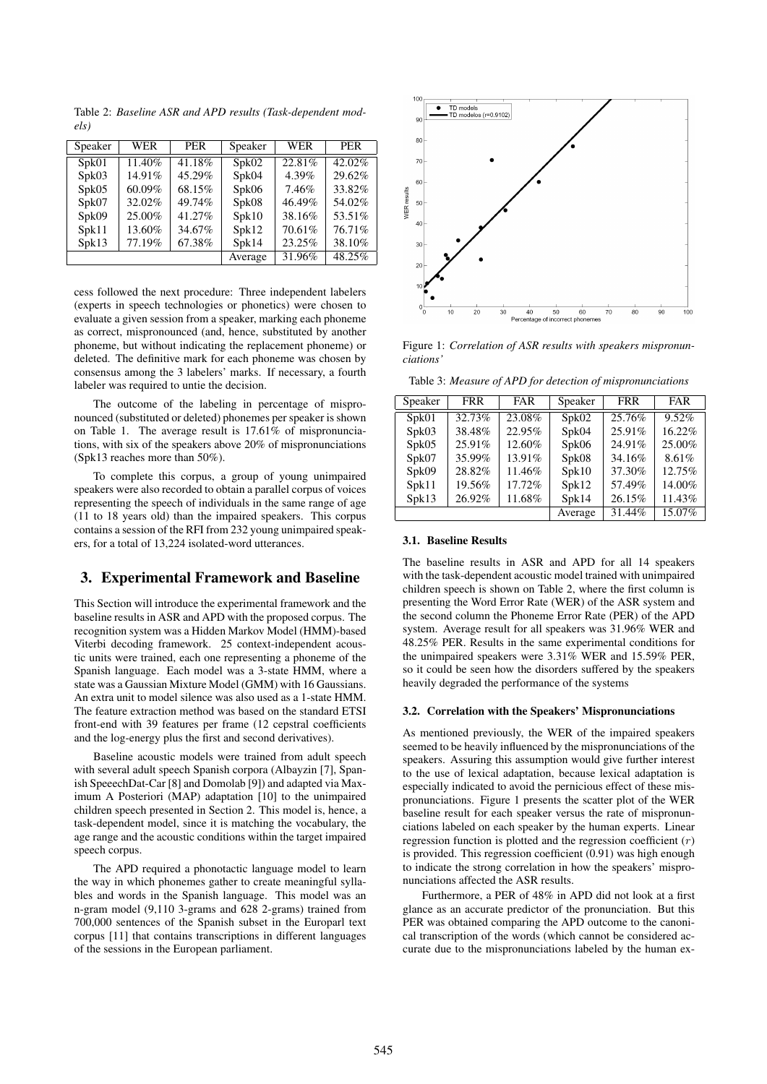Table 2: *Baseline ASR and APD results (Task-dependent models)*

| Speaker | <b>WER</b> | <b>PER</b> | Speaker | <b>WER</b> | <b>PER</b> |
|---------|------------|------------|---------|------------|------------|
| Spk01   | 11.40%     | 41.18%     | Spk02   | 22.81%     | 42.02%     |
| Spk03   | 14.91%     | 45.29%     | Spk04   | 4.39%      | 29.62%     |
| Spk05   | 60.09%     | 68.15%     | Spk06   | 7.46%      | 33.82%     |
| Spk07   | 32.02%     | 49.74%     | Spk08   | 46.49%     | 54.02%     |
| Spk09   | 25.00%     | 41.27%     | Spk10   | 38.16%     | 53.51%     |
| Spk11   | 13.60%     | 34.67%     | Spk12   | 70.61%     | 76.71%     |
| Spk13   | 77.19%     | 67.38%     | Spk14   | 23.25%     | 38.10%     |
|         |            |            | Average | 31.96%     | 48.25%     |

cess followed the next procedure: Three independent labelers (experts in speech technologies or phonetics) were chosen to evaluate a given session from a speaker, marking each phoneme as correct, mispronounced (and, hence, substituted by another phoneme, but without indicating the replacement phoneme) or deleted. The definitive mark for each phoneme was chosen by consensus among the 3 labelers' marks. If necessary, a fourth labeler was required to untie the decision.

The outcome of the labeling in percentage of mispronounced (substituted or deleted) phonemes per speaker is shown on Table 1. The average result is 17.61% of mispronunciations, with six of the speakers above 20% of mispronunciations (Spk13 reaches more than 50%).

To complete this corpus, a group of young unimpaired speakers were also recorded to obtain a parallel corpus of voices representing the speech of individuals in the same range of age (11 to 18 years old) than the impaired speakers. This corpus contains a session of the RFI from 232 young unimpaired speakers, for a total of 13,224 isolated-word utterances.

# 3. Experimental Framework and Baseline

This Section will introduce the experimental framework and the baseline results in ASR and APD with the proposed corpus. The recognition system was a Hidden Markov Model (HMM)-based Viterbi decoding framework. 25 context-independent acoustic units were trained, each one representing a phoneme of the Spanish language. Each model was a 3-state HMM, where a state was a Gaussian Mixture Model (GMM) with 16 Gaussians. An extra unit to model silence was also used as a 1-state HMM. The feature extraction method was based on the standard ETSI front-end with 39 features per frame (12 cepstral coefficients and the log-energy plus the first and second derivatives).

Baseline acoustic models were trained from adult speech with several adult speech Spanish corpora (Albayzin [7], Spanish SpeeechDat-Car [8] and Domolab [9]) and adapted via Maximum A Posteriori (MAP) adaptation [10] to the unimpaired children speech presented in Section 2. This model is, hence, a task-dependent model, since it is matching the vocabulary, the age range and the acoustic conditions within the target impaired speech corpus.

The APD required a phonotactic language model to learn the way in which phonemes gather to create meaningful syllables and words in the Spanish language. This model was an n-gram model (9,110 3-grams and 628 2-grams) trained from 700,000 sentences of the Spanish subset in the Europarl text corpus [11] that contains transcriptions in different languages of the sessions in the European parliament.



Figure 1: *Correlation of ASR results with speakers mispronunciations'*

Table 3: *Measure of APD for detection of mispronunciations*

| Speaker | <b>FRR</b> | <b>FAR</b> | Speaker | <b>FRR</b> | <b>FAR</b> |
|---------|------------|------------|---------|------------|------------|
| Spk01   | 32.73%     | 23.08%     | Spk02   | 25.76%     | 9.52%      |
| Spk03   | 38.48%     | 22.95%     | Spk04   | 25.91%     | 16.22%     |
| Spk05   | 25.91%     | 12.60%     | Spk06   | 24.91%     | 25.00%     |
| Spk07   | 35.99%     | 13.91%     | Spk08   | 34.16%     | 8.61%      |
| Spk09   | 28.82%     | 11.46%     | Spk10   | 37.30%     | 12.75%     |
| Spk11   | 19.56%     | 17.72%     | Spk12   | 57.49%     | 14.00%     |
| Spk13   | 26.92%     | 11.68%     | Spk14   | 26.15%     | 11.43%     |
|         |            |            | Average | 31.44%     | 15.07%     |

#### 3.1. Baseline Results

The baseline results in ASR and APD for all 14 speakers with the task-dependent acoustic model trained with unimpaired children speech is shown on Table 2, where the first column is presenting the Word Error Rate (WER) of the ASR system and the second column the Phoneme Error Rate (PER) of the APD system. Average result for all speakers was 31.96% WER and 48.25% PER. Results in the same experimental conditions for the unimpaired speakers were 3.31% WER and 15.59% PER, so it could be seen how the disorders suffered by the speakers heavily degraded the performance of the systems

#### 3.2. Correlation with the Speakers' Mispronunciations

As mentioned previously, the WER of the impaired speakers seemed to be heavily influenced by the mispronunciations of the speakers. Assuring this assumption would give further interest to the use of lexical adaptation, because lexical adaptation is especially indicated to avoid the pernicious effect of these mispronunciations. Figure 1 presents the scatter plot of the WER baseline result for each speaker versus the rate of mispronunciations labeled on each speaker by the human experts. Linear regression function is plotted and the regression coefficient  $(r)$ is provided. This regression coefficient (0.91) was high enough to indicate the strong correlation in how the speakers' mispronunciations affected the ASR results.

Furthermore, a PER of 48% in APD did not look at a first glance as an accurate predictor of the pronunciation. But this PER was obtained comparing the APD outcome to the canonical transcription of the words (which cannot be considered accurate due to the mispronunciations labeled by the human ex-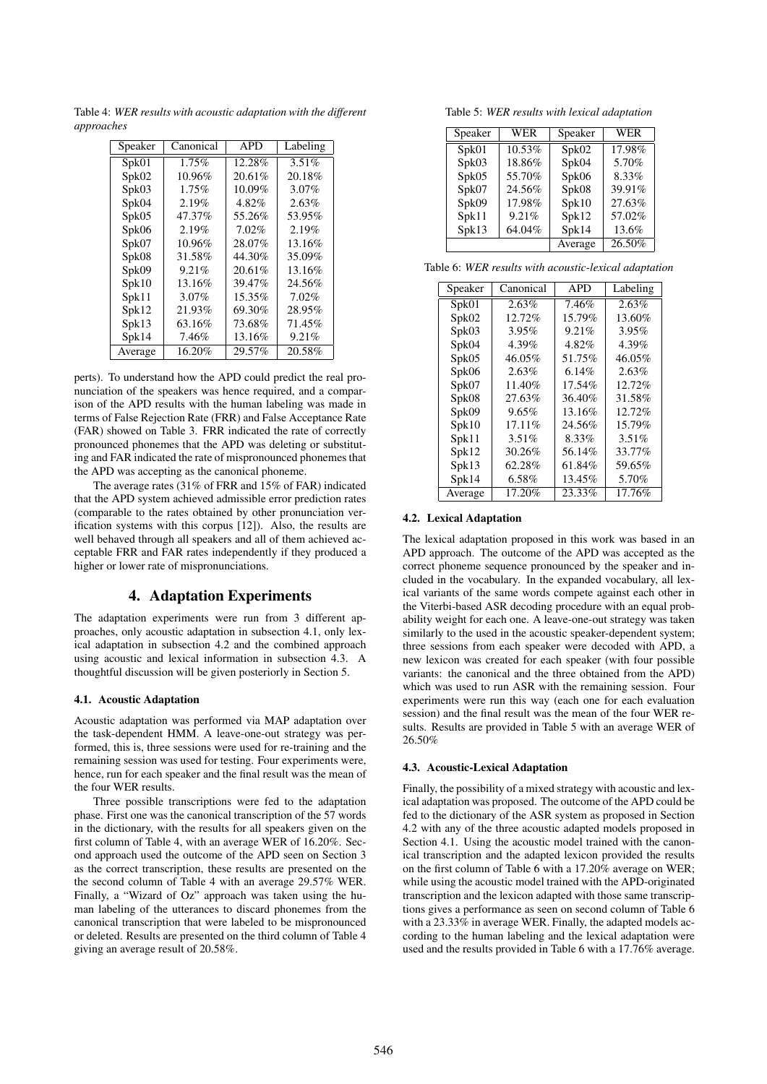Table 4: *WER results with acoustic adaptation with the different approaches*

| Speaker | Canonical | <b>APD</b> | Labeling |
|---------|-----------|------------|----------|
| Spk01   | 1.75%     | 12.28%     | $3.51\%$ |
| Spk02   | 10.96%    | 20.61%     | 20.18%   |
| Spk03   | 1.75%     | 10.09%     | $3.07\%$ |
| Spk04   | 2.19%     | 4.82%      | 2.63%    |
| Spk05   | 47.37%    | 55.26%     | 53.95%   |
| Spk06   | 2.19%     | 7.02%      | 2.19%    |
| Spk07   | 10.96%    | 28.07%     | 13.16%   |
| Spk08   | 31.58%    | 44.30%     | 35.09%   |
| Spk09   | 9.21%     | 20.61%     | 13.16%   |
| Spk10   | 13.16%    | 39.47%     | 24.56%   |
| Spk11   | $3.07\%$  | 15.35%     | 7.02%    |
| Spk12   | 21.93%    | 69.30%     | 28.95%   |
| Spk13   | 63.16%    | 73.68%     | 71.45%   |
| Spk14   | 7.46%     | 13.16%     | 9.21%    |
| Average | 16.20%    | 29.57%     | 20.58%   |

perts). To understand how the APD could predict the real pronunciation of the speakers was hence required, and a comparison of the APD results with the human labeling was made in terms of False Rejection Rate (FRR) and False Acceptance Rate (FAR) showed on Table 3. FRR indicated the rate of correctly pronounced phonemes that the APD was deleting or substituting and FAR indicated the rate of mispronounced phonemes that the APD was accepting as the canonical phoneme.

The average rates (31% of FRR and 15% of FAR) indicated that the APD system achieved admissible error prediction rates (comparable to the rates obtained by other pronunciation verification systems with this corpus [12]). Also, the results are well behaved through all speakers and all of them achieved acceptable FRR and FAR rates independently if they produced a higher or lower rate of mispronunciations.

# 4. Adaptation Experiments

The adaptation experiments were run from 3 different approaches, only acoustic adaptation in subsection 4.1, only lexical adaptation in subsection 4.2 and the combined approach using acoustic and lexical information in subsection 4.3. A thoughtful discussion will be given posteriorly in Section 5.

### 4.1. Acoustic Adaptation

Acoustic adaptation was performed via MAP adaptation over the task-dependent HMM. A leave-one-out strategy was performed, this is, three sessions were used for re-training and the remaining session was used for testing. Four experiments were, hence, run for each speaker and the final result was the mean of the four WER results.

Three possible transcriptions were fed to the adaptation phase. First one was the canonical transcription of the 57 words in the dictionary, with the results for all speakers given on the first column of Table 4, with an average WER of 16.20%. Second approach used the outcome of the APD seen on Section 3 as the correct transcription, these results are presented on the the second column of Table 4 with an average 29.57% WER. Finally, a "Wizard of Oz" approach was taken using the human labeling of the utterances to discard phonemes from the canonical transcription that were labeled to be mispronounced or deleted. Results are presented on the third column of Table 4 giving an average result of 20.58%.

Table 5: *WER results with lexical adaptation*

| Speaker | <b>WER</b> | Speaker | <b>WER</b> |
|---------|------------|---------|------------|
| Spk01   | 10.53%     | Spk02   | 17.98%     |
| Spk03   | 18.86%     | Spk04   | 5.70%      |
| Spk05   | 55.70%     | Spk06   | 8.33%      |
| Spk07   | 24.56%     | Spk08   | 39.91%     |
| Spk09   | 17.98%     | Spk10   | 27.63%     |
| Spk11   | 9.21%      | Spk12   | 57.02%     |
| Spk13   | 64.04%     | Spk14   | 13.6%      |
|         |            | Average | 26.50%     |

|  |  |  |  |  |  | Table 6: WER results with acoustic-lexical adaptation |
|--|--|--|--|--|--|-------------------------------------------------------|
|--|--|--|--|--|--|-------------------------------------------------------|

| Speaker | Canonical | <b>APD</b> | Labeling |
|---------|-----------|------------|----------|
| Spk01   | $2.63\%$  | 7.46%      | 2.63%    |
| Spk02   | 12.72%    | 15.79%     | 13.60%   |
| Spk03   | 3.95%     | 9.21%      | 3.95%    |
| Spk04   | 4.39%     | 4.82%      | 4.39%    |
| Spk05   | 46.05%    | 51.75%     | 46.05%   |
| Spk06   | $2.63\%$  | $6.14\%$   | $2.63\%$ |
| Spk07   | 11.40%    | 17.54%     | 12.72%   |
| Spk08   | 27.63%    | 36.40%     | 31.58%   |
| Spk09   | $9.65\%$  | 13.16%     | 12.72%   |
| Spk10   | $17.11\%$ | 24.56%     | 15.79%   |
| Spk11   | $3.51\%$  | 8.33%      | $3.51\%$ |
| Spk12   | 30.26%    | 56.14%     | 33.77%   |
| Spk13   | 62.28%    | 61.84%     | 59.65%   |
| Spk14   | 6.58%     | 13.45%     | 5.70%    |
| Average | 17.20%    | 23.33%     | 17.76%   |

#### 4.2. Lexical Adaptation

The lexical adaptation proposed in this work was based in an APD approach. The outcome of the APD was accepted as the correct phoneme sequence pronounced by the speaker and included in the vocabulary. In the expanded vocabulary, all lexical variants of the same words compete against each other in the Viterbi-based ASR decoding procedure with an equal probability weight for each one. A leave-one-out strategy was taken similarly to the used in the acoustic speaker-dependent system; three sessions from each speaker were decoded with APD, a new lexicon was created for each speaker (with four possible variants: the canonical and the three obtained from the APD) which was used to run ASR with the remaining session. Four experiments were run this way (each one for each evaluation session) and the final result was the mean of the four WER results. Results are provided in Table 5 with an average WER of 26.50%

#### 4.3. Acoustic-Lexical Adaptation

Finally, the possibility of a mixed strategy with acoustic and lexical adaptation was proposed. The outcome of the APD could be fed to the dictionary of the ASR system as proposed in Section 4.2 with any of the three acoustic adapted models proposed in Section 4.1. Using the acoustic model trained with the canonical transcription and the adapted lexicon provided the results on the first column of Table 6 with a 17.20% average on WER; while using the acoustic model trained with the APD-originated transcription and the lexicon adapted with those same transcriptions gives a performance as seen on second column of Table 6 with a 23.33% in average WER. Finally, the adapted models according to the human labeling and the lexical adaptation were used and the results provided in Table 6 with a 17.76% average.